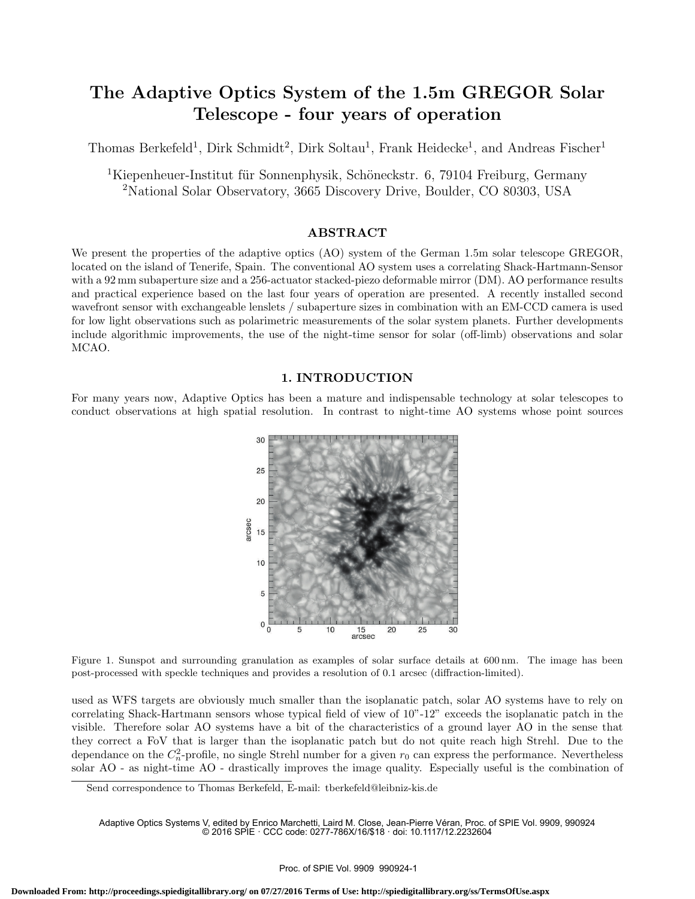# The Adaptive Optics System of the 1.5m GREGOR Solar Telescope - four years of operation

Thomas Berkefeld<sup>1</sup>, Dirk Schmidt<sup>2</sup>, Dirk Soltau<sup>1</sup>, Frank Heidecke<sup>1</sup>, and Andreas Fischer<sup>1</sup>

<sup>1</sup>Kiepenheuer-Institut für Sonnenphysik, Schöneckstr. 6, 79104 Freiburg, Germany <sup>2</sup>National Solar Observatory, 3665 Discovery Drive, Boulder, CO 80303, USA

### ABSTRACT

We present the properties of the adaptive optics (AO) system of the German 1.5m solar telescope GREGOR, located on the island of Tenerife, Spain. The conventional AO system uses a correlating Shack-Hartmann-Sensor with a 92 mm subaperture size and a 256-actuator stacked-piezo deformable mirror (DM). AO performance results and practical experience based on the last four years of operation are presented. A recently installed second wavefront sensor with exchangeable lenslets / subaperture sizes in combination with an EM-CCD camera is used for low light observations such as polarimetric measurements of the solar system planets. Further developments include algorithmic improvements, the use of the night-time sensor for solar (off-limb) observations and solar MCAO.

### 1. INTRODUCTION

For many years now, Adaptive Optics has been a mature and indispensable technology at solar telescopes to conduct observations at high spatial resolution. In contrast to night-time AO systems whose point sources



Figure 1. Sunspot and surrounding granulation as examples of solar surface details at 600 nm. The image has been post-processed with speckle techniques and provides a resolution of 0.1 arcsec (diffraction-limited).

used as WFS targets are obviously much smaller than the isoplanatic patch, solar AO systems have to rely on correlating Shack-Hartmann sensors whose typical field of view of 10"-12" exceeds the isoplanatic patch in the visible. Therefore solar AO systems have a bit of the characteristics of a ground layer AO in the sense that they correct a FoV that is larger than the isoplanatic patch but do not quite reach high Strehl. Due to the dependance on the  $C_n^2$ -profile, no single Strehl number for a given  $r_0$  can express the performance. Nevertheless solar AO - as night-time AO - drastically improves the image quality. Especially useful is the combination of

Send correspondence to Thomas Berkefeld, E-mail: tberkefeld@leibniz-kis.de

Adaptive Optics Systems V, edited by Enrico Marchetti, Laird M. Close, Jean-Pierre Véran, Proc. of SPIE Vol. 9909, 990924 © 2016 SPIE · CCC code: 0277-786X/16/\$18 · doi: 10.1117/12.2232604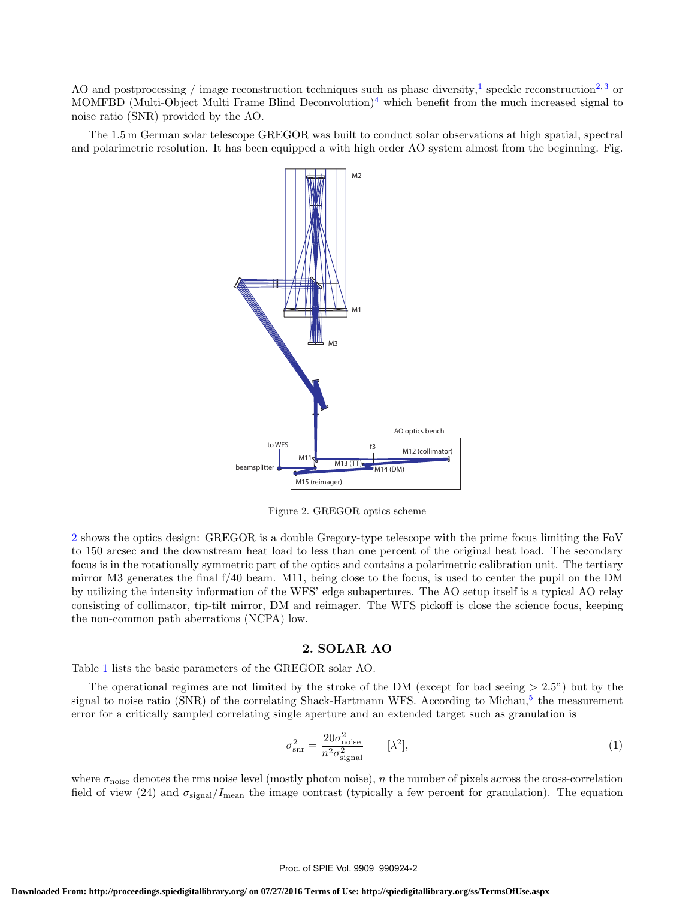AO and postprocessing / image reconstruction techniques such as phase diversity,<sup>1</sup> speckle reconstruction<sup>2,3</sup> or MOMFBD (Multi-Object Multi Frame Blind Deconvolution)<sup>4</sup> which benefit from the much increased signal to noise ratio (SNR) provided by the AO.

The 1.5 m German solar telescope GREGOR was built to conduct solar observations at high spatial, spectral and polarimetric resolution. It has been equipped a with high order AO system almost from the beginning. Fig.



Figure 2. GREGOR optics scheme

2 shows the optics design: GREGOR is a double Gregory-type telescope with the prime focus limiting the FoV to 150 arcsec and the downstream heat load to less than one percent of the original heat load. The secondary focus is in the rotationally symmetric part of the optics and contains a polarimetric calibration unit. The tertiary mirror M3 generates the final f/40 beam. M11, being close to the focus, is used to center the pupil on the DM by utilizing the intensity information of the WFS' edge subapertures. The AO setup itself is a typical AO relay consisting of collimator, tip-tilt mirror, DM and reimager. The WFS pickoff is close the science focus, keeping the non-common path aberrations (NCPA) low.

# 2. SOLAR AO

Table 1 lists the basic parameters of the GREGOR solar AO.

The operational regimes are not limited by the stroke of the DM (except for bad seeing  $> 2.5$ ") but by the signal to noise ratio (SNR) of the correlating Shack-Hartmann WFS. According to Michau,<sup>5</sup> the measurement error for a critically sampled correlating single aperture and an extended target such as granulation is

$$
\sigma_{\rm snr}^2 = \frac{20\sigma_{\rm noise}^2}{n^2 \sigma_{\rm signal}^2} \qquad [\lambda^2],\tag{1}
$$

where  $\sigma_{\text{noise}}$  denotes the rms noise level (mostly photon noise), n the number of pixels across the cross-correlation field of view (24) and  $\sigma_{\rm signal}/I_{\rm mean}$  the image contrast (typically a few percent for granulation). The equation

#### Proc. of SPIE Vol. 9909 990924-2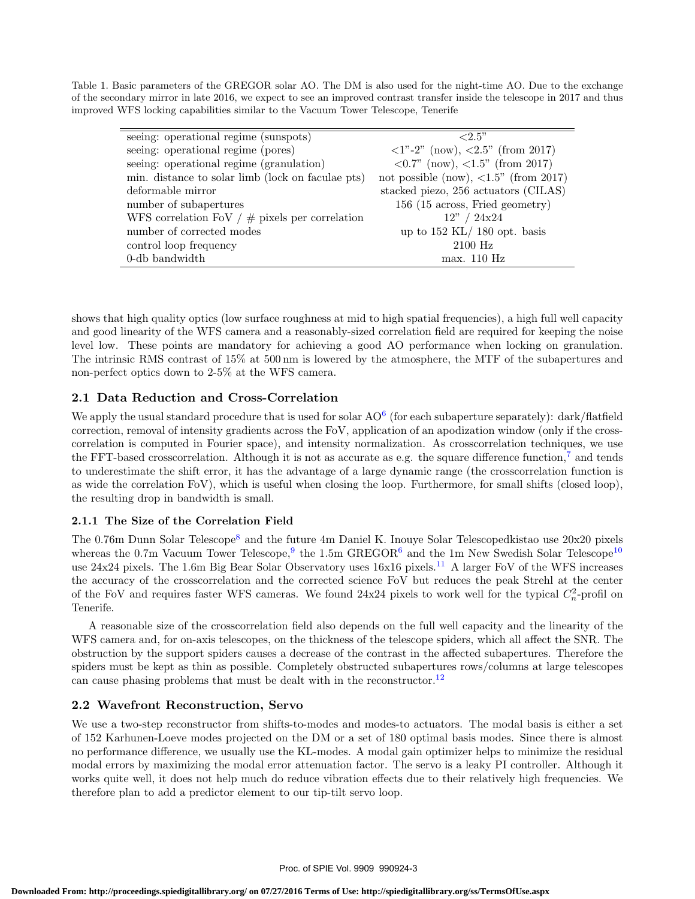Table 1. Basic parameters of the GREGOR solar AO. The DM is also used for the night-time AO. Due to the exchange of the secondary mirror in late 2016, we expect to see an improved contrast transfer inside the telescope in 2017 and thus improved WFS locking capabilities similar to the Vacuum Tower Telescope, Tenerife

| seeing: operational regime (sunspots)             | ${<}2.5"$                                                        |
|---------------------------------------------------|------------------------------------------------------------------|
| seeing: operational regime (pores)                | $\langle 1 \rangle$ -2" (now), $\langle 2.5 \rangle$ (from 2017) |
| seeing: operational regime (granulation)          | $\langle 0.7 \rangle$ (now), $\langle 1.5 \rangle$ (from 2017)   |
| min. distance to solar limb (lock on faculae pts) | not possible (now), $\langle 1.5 \rangle$ (from 2017)            |
| deformable mirror                                 | stacked piezo, 256 actuators (CILAS)                             |
| number of subapertures                            | 156 (15 across, Fried geometry)                                  |
| WFS correlation FoV $/$ # pixels per correlation  | 12" / 24x24                                                      |
| number of corrected modes                         | up to $152$ KL/ 180 opt. basis                                   |
| control loop frequency                            | $2100$ Hz                                                        |
| 0-db bandwidth                                    | max. 110 Hz                                                      |
|                                                   |                                                                  |

shows that high quality optics (low surface roughness at mid to high spatial frequencies), a high full well capacity and good linearity of the WFS camera and a reasonably-sized correlation field are required for keeping the noise level low. These points are mandatory for achieving a good AO performance when locking on granulation. The intrinsic RMS contrast of 15% at 500 nm is lowered by the atmosphere, the MTF of the subapertures and non-perfect optics down to 2-5% at the WFS camera.

# 2.1 Data Reduction and Cross-Correlation

We apply the usual standard procedure that is used for solar  $AO^6$  (for each subaperture separately): dark/flatfield correction, removal of intensity gradients across the FoV, application of an apodization window (only if the crosscorrelation is computed in Fourier space), and intensity normalization. As crosscorrelation techniques, we use the FFT-based crosscorrelation. Although it is not as accurate as e.g. the square difference function,<sup>7</sup> and tends to underestimate the shift error, it has the advantage of a large dynamic range (the crosscorrelation function is as wide the correlation FoV), which is useful when closing the loop. Furthermore, for small shifts (closed loop), the resulting drop in bandwidth is small.

# 2.1.1 The Size of the Correlation Field

The 0.76m Dunn Solar Telescope<sup>8</sup> and the future 4m Daniel K. Inouye Solar Telescopedkistao use 20x20 pixels whereas the 0.7m Vacuum Tower Telescope,  $9$  the 1.5m GREGOR<sup>6</sup> and the 1m New Swedish Solar Telescope<sup>10</sup> use  $24x24$  pixels. The 1.6m Big Bear Solar Observatory uses  $16x16$  pixels.<sup>11</sup> A larger FoV of the WFS increases the accuracy of the crosscorrelation and the corrected science FoV but reduces the peak Strehl at the center of the FoV and requires faster WFS cameras. We found  $24x24$  pixels to work well for the typical  $C_n^2$ -profil on Tenerife.

A reasonable size of the crosscorrelation field also depends on the full well capacity and the linearity of the WFS camera and, for on-axis telescopes, on the thickness of the telescope spiders, which all affect the SNR. The obstruction by the support spiders causes a decrease of the contrast in the affected subapertures. Therefore the spiders must be kept as thin as possible. Completely obstructed subapertures rows/columns at large telescopes can cause phasing problems that must be dealt with in the reconstructor.<sup>12</sup>

# 2.2 Wavefront Reconstruction, Servo

We use a two-step reconstructor from shifts-to-modes and modes-to actuators. The modal basis is either a set of 152 Karhunen-Loeve modes projected on the DM or a set of 180 optimal basis modes. Since there is almost no performance difference, we usually use the KL-modes. A modal gain optimizer helps to minimize the residual modal errors by maximizing the modal error attenuation factor. The servo is a leaky PI controller. Although it works quite well, it does not help much do reduce vibration effects due to their relatively high frequencies. We therefore plan to add a predictor element to our tip-tilt servo loop.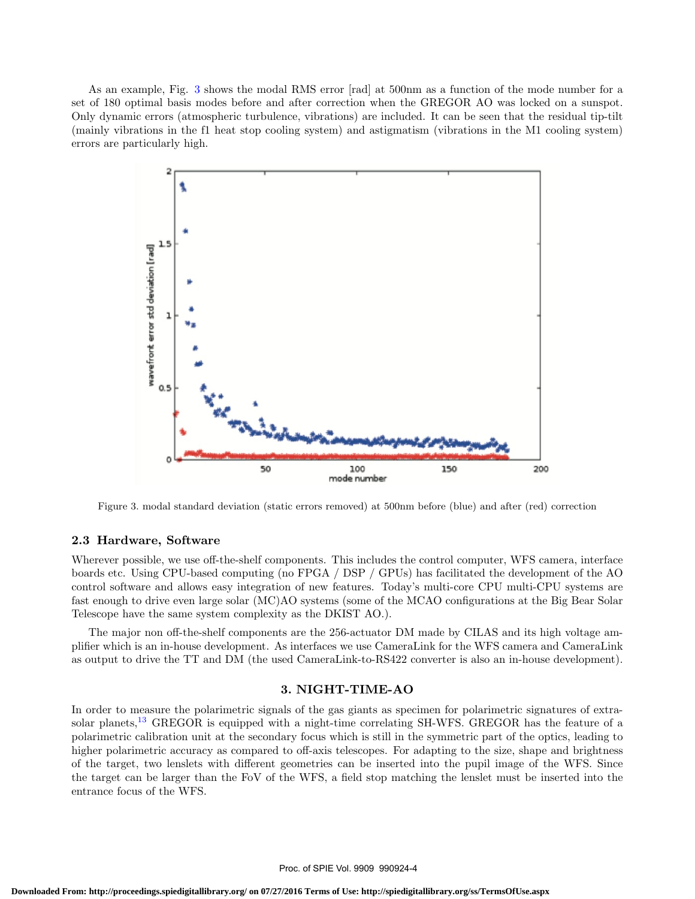As an example, Fig. 3 shows the modal RMS error [rad] at 500nm as a function of the mode number for a set of 180 optimal basis modes before and after correction when the GREGOR AO was locked on a sunspot. Only dynamic errors (atmospheric turbulence, vibrations) are included. It can be seen that the residual tip-tilt (mainly vibrations in the f1 heat stop cooling system) and astigmatism (vibrations in the M1 cooling system) errors are particularly high.



Figure 3. modal standard deviation (static errors removed) at 500nm before (blue) and after (red) correction

#### 2.3 Hardware, Software

Wherever possible, we use off-the-shelf components. This includes the control computer, WFS camera, interface boards etc. Using CPU-based computing (no FPGA / DSP / GPUs) has facilitated the development of the AO control software and allows easy integration of new features. Today's multi-core CPU multi-CPU systems are fast enough to drive even large solar (MC)AO systems (some of the MCAO configurations at the Big Bear Solar Telescope have the same system complexity as the DKIST AO.).

The major non off-the-shelf components are the 256-actuator DM made by CILAS and its high voltage amplifier which is an in-house development. As interfaces we use CameraLink for the WFS camera and CameraLink as output to drive the TT and DM (the used CameraLink-to-RS422 converter is also an in-house development).

#### 3. NIGHT-TIME-AO

In order to measure the polarimetric signals of the gas giants as specimen for polarimetric signatures of extrasolar planets,<sup>13</sup> GREGOR is equipped with a night-time correlating SH-WFS. GREGOR has the feature of a polarimetric calibration unit at the secondary focus which is still in the symmetric part of the optics, leading to higher polarimetric accuracy as compared to off-axis telescopes. For adapting to the size, shape and brightness of the target, two lenslets with different geometries can be inserted into the pupil image of the WFS. Since the target can be larger than the FoV of the WFS, a field stop matching the lenslet must be inserted into the entrance focus of the WFS.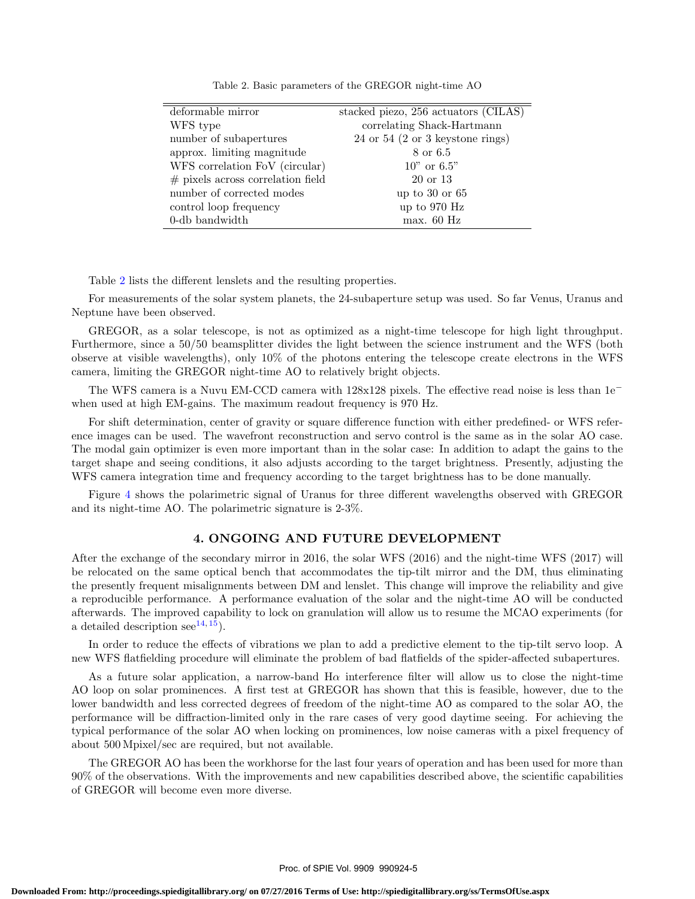| deformable mirror                   | stacked piezo, 256 actuators (CILAS) |
|-------------------------------------|--------------------------------------|
| WFS type                            | correlating Shack-Hartmann           |
| number of subapertures              | 24 or 54 (2 or 3 keystone rings)     |
| approx. limiting magnitude          | 8 or 6.5                             |
| WFS correlation FoV (circular)      | $10"$ or 6.5"                        |
| $#$ pixels across correlation field | 20 or 13                             |
| number of corrected modes           | up to $30$ or $65$                   |
| control loop frequency              | up to 970 Hz                         |
| 0-db bandwidth                      | max. 60 Hz                           |

Table 2. Basic parameters of the GREGOR night-time AO

Table 2 lists the different lenslets and the resulting properties.

For measurements of the solar system planets, the 24-subaperture setup was used. So far Venus, Uranus and Neptune have been observed.

GREGOR, as a solar telescope, is not as optimized as a night-time telescope for high light throughput. Furthermore, since a 50/50 beamsplitter divides the light between the science instrument and the WFS (both observe at visible wavelengths), only 10% of the photons entering the telescope create electrons in the WFS camera, limiting the GREGOR night-time AO to relatively bright objects.

The WFS camera is a Nuvu EM-CCD camera with 128x128 pixels. The effective read noise is less than 1e<sup>−</sup> when used at high EM-gains. The maximum readout frequency is 970 Hz.

For shift determination, center of gravity or square difference function with either predefined- or WFS reference images can be used. The wavefront reconstruction and servo control is the same as in the solar AO case. The modal gain optimizer is even more important than in the solar case: In addition to adapt the gains to the target shape and seeing conditions, it also adjusts according to the target brightness. Presently, adjusting the WFS camera integration time and frequency according to the target brightness has to be done manually.

Figure 4 shows the polarimetric signal of Uranus for three different wavelengths observed with GREGOR and its night-time AO. The polarimetric signature is 2-3%.

# 4. ONGOING AND FUTURE DEVELOPMENT

After the exchange of the secondary mirror in 2016, the solar WFS (2016) and the night-time WFS (2017) will be relocated on the same optical bench that accommodates the tip-tilt mirror and the DM, thus eliminating the presently frequent misalignments between DM and lenslet. This change will improve the reliability and give a reproducible performance. A performance evaluation of the solar and the night-time AO will be conducted afterwards. The improved capability to lock on granulation will allow us to resume the MCAO experiments (for a detailed description see<sup>14, 15</sup>).

In order to reduce the effects of vibrations we plan to add a predictive element to the tip-tilt servo loop. A new WFS flatfielding procedure will eliminate the problem of bad flatfields of the spider-affected subapertures.

As a future solar application, a narrow-band  $H\alpha$  interference filter will allow us to close the night-time AO loop on solar prominences. A first test at GREGOR has shown that this is feasible, however, due to the lower bandwidth and less corrected degrees of freedom of the night-time AO as compared to the solar AO, the performance will be diffraction-limited only in the rare cases of very good daytime seeing. For achieving the typical performance of the solar AO when locking on prominences, low noise cameras with a pixel frequency of about 500 Mpixel/sec are required, but not available.

The GREGOR AO has been the workhorse for the last four years of operation and has been used for more than 90% of the observations. With the improvements and new capabilities described above, the scientific capabilities of GREGOR will become even more diverse.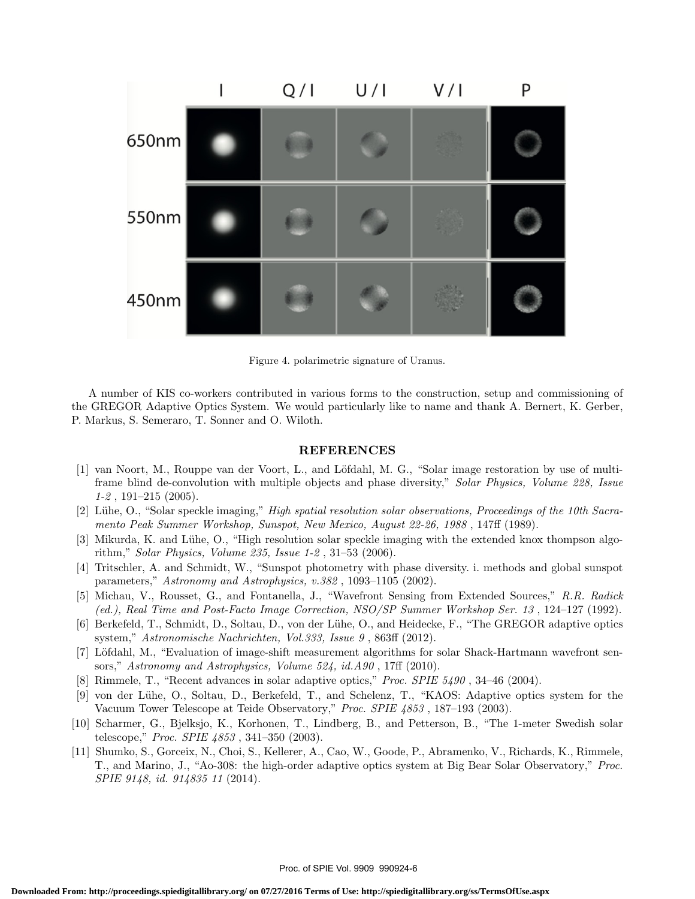

Figure 4. polarimetric signature of Uranus.

A number of KIS co-workers contributed in various forms to the construction, setup and commissioning of the GREGOR Adaptive Optics System. We would particularly like to name and thank A. Bernert, K. Gerber, P. Markus, S. Semeraro, T. Sonner and O. Wiloth.

#### REFERENCES

- [1] van Noort, M., Rouppe van der Voort, L., and Löfdahl, M. G., "Solar image restoration by use of multiframe blind de-convolution with multiple objects and phase diversity," Solar Physics, Volume 228, Issue  $1-2$ , 191 $-215$  (2005).
- [2] Lühe, O., "Solar speckle imaging," High spatial resolution solar observations, Proceedings of the 10th Sacramento Peak Summer Workshop, Sunspot, New Mexico, August 22-26, 1988 , 147ff (1989).
- [3] Mikurda, K. and Lühe, O., "High resolution solar speckle imaging with the extended knox thompson algorithm," Solar Physics, Volume 235, Issue 1-2 , 31–53 (2006).
- [4] Tritschler, A. and Schmidt, W., "Sunspot photometry with phase diversity. i. methods and global sunspot parameters," Astronomy and Astrophysics, v.382 , 1093–1105 (2002).
- [5] Michau, V., Rousset, G., and Fontanella, J., "Wavefront Sensing from Extended Sources," R.R. Radick (ed.), Real Time and Post-Facto Image Correction, NSO/SP Summer Workshop Ser. 13 , 124–127 (1992).
- [6] Berkefeld, T., Schmidt, D., Soltau, D., von der Lühe, O., and Heidecke, F., "The GREGOR adaptive optics system," Astronomische Nachrichten, Vol.333, Issue 9 , 863ff (2012).
- [7] L¨ofdahl, M., "Evaluation of image-shift measurement algorithms for solar Shack-Hartmann wavefront sensors," Astronomy and Astrophysics, Volume 524, id.A90, 17ff (2010).
- [8] Rimmele, T., "Recent advances in solar adaptive optics," Proc. SPIE 5490 , 34–46 (2004).
- [9] von der L¨uhe, O., Soltau, D., Berkefeld, T., and Schelenz, T., "KAOS: Adaptive optics system for the Vacuum Tower Telescope at Teide Observatory," Proc. SPIE 4853 , 187–193 (2003).
- [10] Scharmer, G., Bjelksjo, K., Korhonen, T., Lindberg, B., and Petterson, B., "The 1-meter Swedish solar telescope," Proc. SPIE 4853 , 341–350 (2003).
- [11] Shumko, S., Gorceix, N., Choi, S., Kellerer, A., Cao, W., Goode, P., Abramenko, V., Richards, K., Rimmele, T., and Marino, J., "Ao-308: the high-order adaptive optics system at Big Bear Solar Observatory," Proc. SPIE 9148, id. 914835 11 (2014).